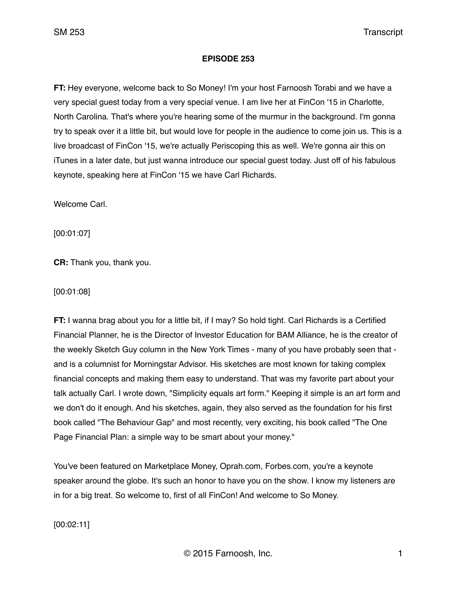### **EPISODE 253**

**FT:** Hey everyone, welcome back to So Money! I'm your host Farnoosh Torabi and we have a very special guest today from a very special venue. I am live her at FinCon '15 in Charlotte, North Carolina. That's where you're hearing some of the murmur in the background. I'm gonna try to speak over it a little bit, but would love for people in the audience to come join us. This is a live broadcast of FinCon '15, we're actually Periscoping this as well. We're gonna air this on iTunes in a later date, but just wanna introduce our special guest today. Just off of his fabulous keynote, speaking here at FinCon '15 we have Carl Richards.

Welcome Carl.

[00:01:07]

**CR:** Thank you, thank you.

[00:01:08]

**FT:** I wanna brag about you for a little bit, if I may? So hold tight. Carl Richards is a Certified Financial Planner, he is the Director of Investor Education for BAM Alliance, he is the creator of the weekly Sketch Guy column in the New York Times - many of you have probably seen that and is a columnist for Morningstar Advisor. His sketches are most known for taking complex financial concepts and making them easy to understand. That was my favorite part about your talk actually Carl. I wrote down, "Simplicity equals art form." Keeping it simple is an art form and we don't do it enough. And his sketches, again, they also served as the foundation for his first book called "The Behaviour Gap" and most recently, very exciting, his book called "The One Page Financial Plan: a simple way to be smart about your money."

You've been featured on Marketplace Money, Oprah.com, Forbes.com, you're a keynote speaker around the globe. It's such an honor to have you on the show. I know my listeners are in for a big treat. So welcome to, first of all FinCon! And welcome to So Money.

[00:02:11]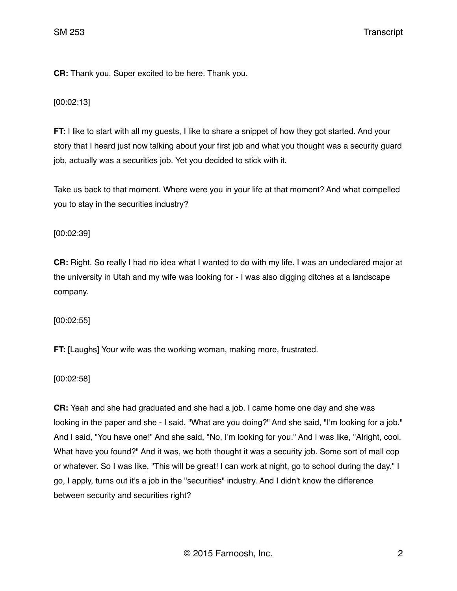**CR:** Thank you. Super excited to be here. Thank you.

[00:02:13]

**FT:** I like to start with all my guests, I like to share a snippet of how they got started. And your story that I heard just now talking about your first job and what you thought was a security guard job, actually was a securities job. Yet you decided to stick with it.

Take us back to that moment. Where were you in your life at that moment? And what compelled you to stay in the securities industry?

[00:02:39]

**CR:** Right. So really I had no idea what I wanted to do with my life. I was an undeclared major at the university in Utah and my wife was looking for - I was also digging ditches at a landscape company.

[00:02:55]

**FT:** [Laughs] Your wife was the working woman, making more, frustrated.

[00:02:58]

**CR:** Yeah and she had graduated and she had a job. I came home one day and she was looking in the paper and she - I said, "What are you doing?" And she said, "I'm looking for a job." And I said, "You have one!" And she said, "No, I'm looking for you." And I was like, "Alright, cool. What have you found?" And it was, we both thought it was a security job. Some sort of mall cop or whatever. So I was like, "This will be great! I can work at night, go to school during the day." I go, I apply, turns out it's a job in the "securities" industry. And I didn't know the difference between security and securities right?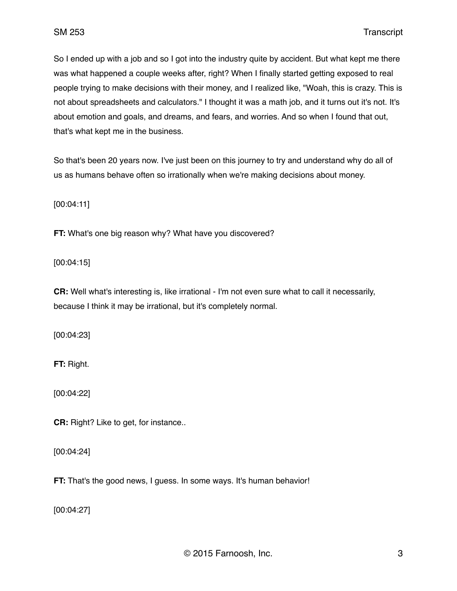So I ended up with a job and so I got into the industry quite by accident. But what kept me there was what happened a couple weeks after, right? When I finally started getting exposed to real people trying to make decisions with their money, and I realized like, "Woah, this is crazy. This is not about spreadsheets and calculators." I thought it was a math job, and it turns out it's not. It's about emotion and goals, and dreams, and fears, and worries. And so when I found that out, that's what kept me in the business.

So that's been 20 years now. I've just been on this journey to try and understand why do all of us as humans behave often so irrationally when we're making decisions about money.

[00:04:11]

**FT:** What's one big reason why? What have you discovered?

[00:04:15]

**CR:** Well what's interesting is, like irrational - I'm not even sure what to call it necessarily, because I think it may be irrational, but it's completely normal.

[00:04:23]

**FT:** Right.

[00:04:22]

**CR:** Right? Like to get, for instance..

[00:04:24]

**FT:** That's the good news, I guess. In some ways. It's human behavior!

[00:04:27]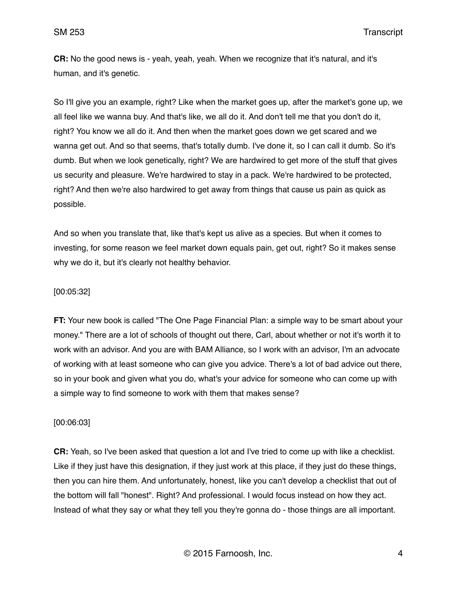**CR:** No the good news is - yeah, yeah, yeah. When we recognize that it's natural, and it's human, and it's genetic.

So I'll give you an example, right? Like when the market goes up, after the market's gone up, we all feel like we wanna buy. And that's like, we all do it. And don't tell me that you don't do it, right? You know we all do it. And then when the market goes down we get scared and we wanna get out. And so that seems, that's totally dumb. I've done it, so I can call it dumb. So it's dumb. But when we look genetically, right? We are hardwired to get more of the stuff that gives us security and pleasure. We're hardwired to stay in a pack. We're hardwired to be protected, right? And then we're also hardwired to get away from things that cause us pain as quick as possible.

And so when you translate that, like that's kept us alive as a species. But when it comes to investing, for some reason we feel market down equals pain, get out, right? So it makes sense why we do it, but it's clearly not healthy behavior.

### [00:05:32]

**FT:** Your new book is called "The One Page Financial Plan: a simple way to be smart about your money." There are a lot of schools of thought out there, Carl, about whether or not it's worth it to work with an advisor. And you are with BAM Alliance, so I work with an advisor, I'm an advocate of working with at least someone who can give you advice. There's a lot of bad advice out there, so in your book and given what you do, what's your advice for someone who can come up with a simple way to find someone to work with them that makes sense?

#### [00:06:03]

**CR:** Yeah, so I've been asked that question a lot and I've tried to come up with like a checklist. Like if they just have this designation, if they just work at this place, if they just do these things, then you can hire them. And unfortunately, honest, like you can't develop a checklist that out of the bottom will fall "honest". Right? And professional. I would focus instead on how they act. Instead of what they say or what they tell you they're gonna do - those things are all important.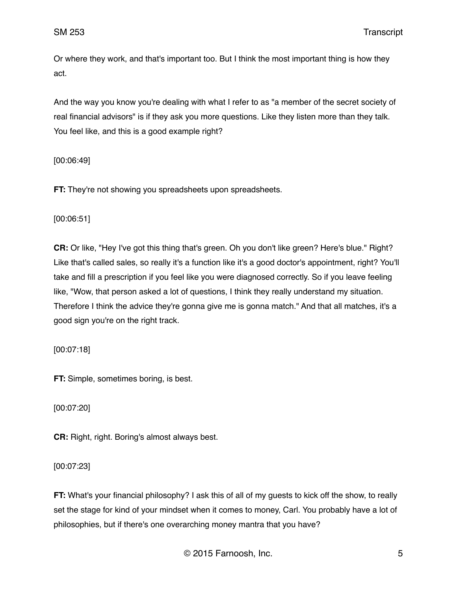Or where they work, and that's important too. But I think the most important thing is how they act.

And the way you know you're dealing with what I refer to as "a member of the secret society of real financial advisors" is if they ask you more questions. Like they listen more than they talk. You feel like, and this is a good example right?

[00:06:49]

**FT:** They're not showing you spreadsheets upon spreadsheets.

[00:06:51]

**CR:** Or like, "Hey I've got this thing that's green. Oh you don't like green? Here's blue." Right? Like that's called sales, so really it's a function like it's a good doctor's appointment, right? You'll take and fill a prescription if you feel like you were diagnosed correctly. So if you leave feeling like, "Wow, that person asked a lot of questions, I think they really understand my situation. Therefore I think the advice they're gonna give me is gonna match." And that all matches, it's a good sign you're on the right track.

[00:07:18]

**FT:** Simple, sometimes boring, is best.

[00:07:20]

**CR:** Right, right. Boring's almost always best.

[00:07:23]

**FT:** What's your financial philosophy? I ask this of all of my guests to kick off the show, to really set the stage for kind of your mindset when it comes to money, Carl. You probably have a lot of philosophies, but if there's one overarching money mantra that you have?

© 2015 Farnoosh, Inc. 5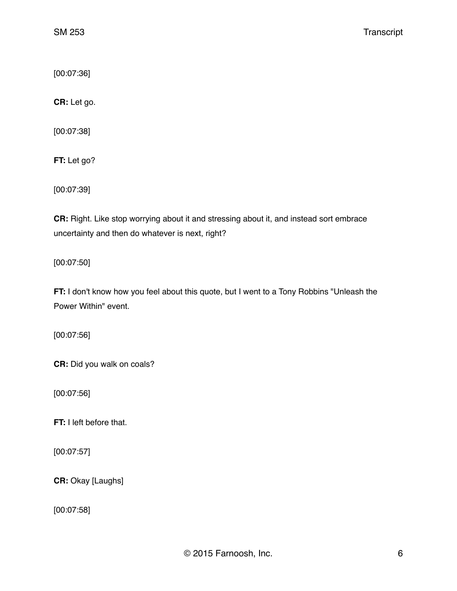[00:07:36]

**CR:** Let go.

[00:07:38]

**FT:** Let go?

[00:07:39]

**CR:** Right. Like stop worrying about it and stressing about it, and instead sort embrace uncertainty and then do whatever is next, right?

[00:07:50]

**FT:** I don't know how you feel about this quote, but I went to a Tony Robbins "Unleash the Power Within" event.

[00:07:56]

**CR:** Did you walk on coals?

[00:07:56]

**FT:** I left before that.

[00:07:57]

**CR:** Okay [Laughs]

[00:07:58]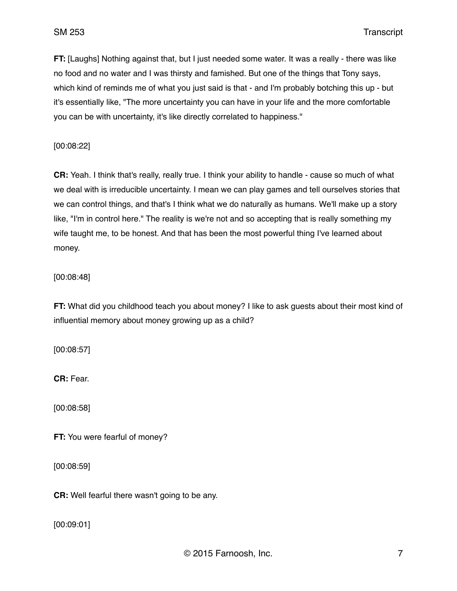**FT:** [Laughs] Nothing against that, but I just needed some water. It was a really - there was like no food and no water and I was thirsty and famished. But one of the things that Tony says, which kind of reminds me of what you just said is that - and I'm probably botching this up - but it's essentially like, "The more uncertainty you can have in your life and the more comfortable you can be with uncertainty, it's like directly correlated to happiness."

[00:08:22]

**CR:** Yeah. I think that's really, really true. I think your ability to handle - cause so much of what we deal with is irreducible uncertainty. I mean we can play games and tell ourselves stories that we can control things, and that's I think what we do naturally as humans. We'll make up a story like, "I'm in control here." The reality is we're not and so accepting that is really something my wife taught me, to be honest. And that has been the most powerful thing I've learned about money.

[00:08:48]

**FT:** What did you childhood teach you about money? I like to ask guests about their most kind of influential memory about money growing up as a child?

[00:08:57]

**CR:** Fear.

[00:08:58]

**FT:** You were fearful of money?

[00:08:59]

**CR:** Well fearful there wasn't going to be any.

[00:09:01]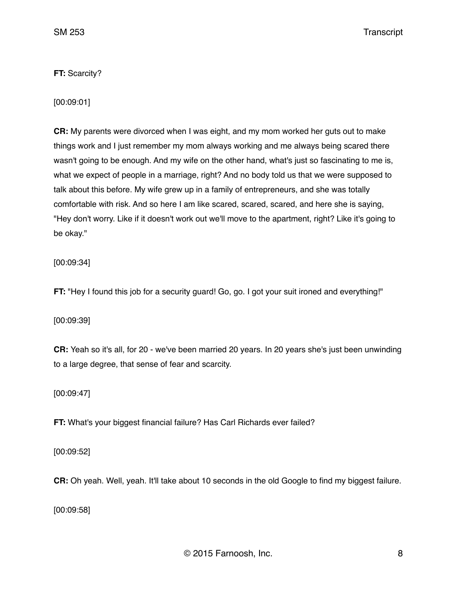**FT:** Scarcity?

[00:09:01]

**CR:** My parents were divorced when I was eight, and my mom worked her guts out to make things work and I just remember my mom always working and me always being scared there wasn't going to be enough. And my wife on the other hand, what's just so fascinating to me is, what we expect of people in a marriage, right? And no body told us that we were supposed to talk about this before. My wife grew up in a family of entrepreneurs, and she was totally comfortable with risk. And so here I am like scared, scared, scared, and here she is saying, "Hey don't worry. Like if it doesn't work out we'll move to the apartment, right? Like it's going to be okay."

[00:09:34]

**FT:** "Hey I found this job for a security guard! Go, go. I got your suit ironed and everything!"

[00:09:39]

**CR:** Yeah so it's all, for 20 - we've been married 20 years. In 20 years she's just been unwinding to a large degree, that sense of fear and scarcity.

[00:09:47]

**FT:** What's your biggest financial failure? Has Carl Richards ever failed?

[00:09:52]

**CR:** Oh yeah. Well, yeah. It'll take about 10 seconds in the old Google to find my biggest failure.

[00:09:58]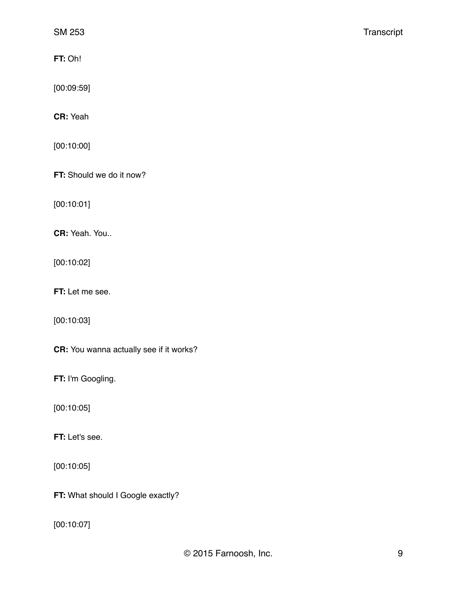**FT:** Oh!

[00:09:59]

**CR:** Yeah

[00:10:00]

**FT:** Should we do it now?

[00:10:01]

**CR:** Yeah. You..

[00:10:02]

**FT:** Let me see.

[00:10:03]

**CR:** You wanna actually see if it works?

**FT:** I'm Googling.

[00:10:05]

**FT:** Let's see.

[00:10:05]

**FT: What should I Google exactly?** 

[00:10:07]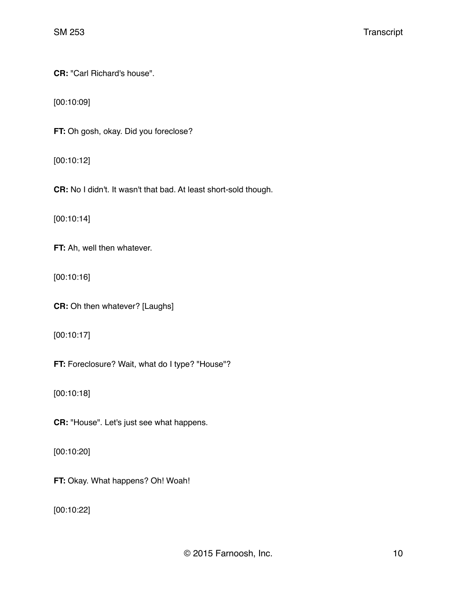**CR:** "Carl Richard's house".

[00:10:09]

**FT:** Oh gosh, okay. Did you foreclose?

[00:10:12]

**CR:** No I didn't. It wasn't that bad. At least short-sold though.

[00:10:14]

**FT:** Ah, well then whatever.

[00:10:16]

**CR:** Oh then whatever? [Laughs]

[00:10:17]

**FT:** Foreclosure? Wait, what do I type? "House"?

[00:10:18]

**CR:** "House". Let's just see what happens.

[00:10:20]

**FT:** Okay. What happens? Oh! Woah!

[00:10:22]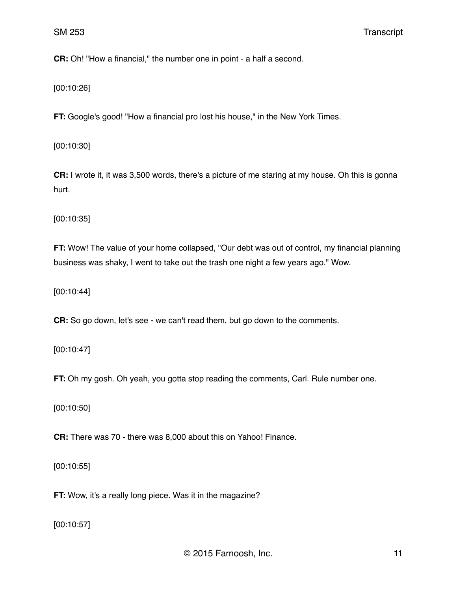**CR:** Oh! "How a financial," the number one in point - a half a second.

[00:10:26]

**FT:** Google's good! "How a financial pro lost his house," in the New York Times.

[00:10:30]

**CR:** I wrote it, it was 3,500 words, there's a picture of me staring at my house. Oh this is gonna hurt.

[00:10:35]

**FT:** Wow! The value of your home collapsed, "Our debt was out of control, my financial planning business was shaky, I went to take out the trash one night a few years ago." Wow.

[00:10:44]

**CR:** So go down, let's see - we can't read them, but go down to the comments.

[00:10:47]

**FT:** Oh my gosh. Oh yeah, you gotta stop reading the comments, Carl. Rule number one.

[00:10:50]

**CR:** There was 70 - there was 8,000 about this on Yahoo! Finance.

[00:10:55]

**FT:** Wow, it's a really long piece. Was it in the magazine?

[00:10:57]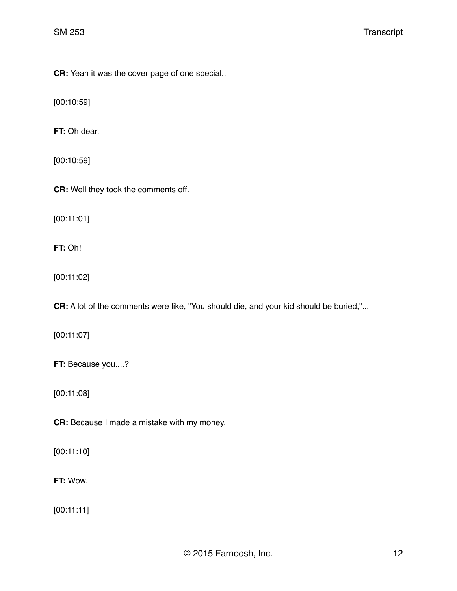**CR:** Yeah it was the cover page of one special..

[00:10:59]

**FT:** Oh dear.

[00:10:59]

**CR:** Well they took the comments off.

[00:11:01]

**FT:** Oh!

[00:11:02]

**CR:** A lot of the comments were like, "You should die, and your kid should be buried,"...

[00:11:07]

**FT:** Because you....?

[00:11:08]

**CR:** Because I made a mistake with my money.

[00:11:10]

**FT:** Wow.

[00:11:11]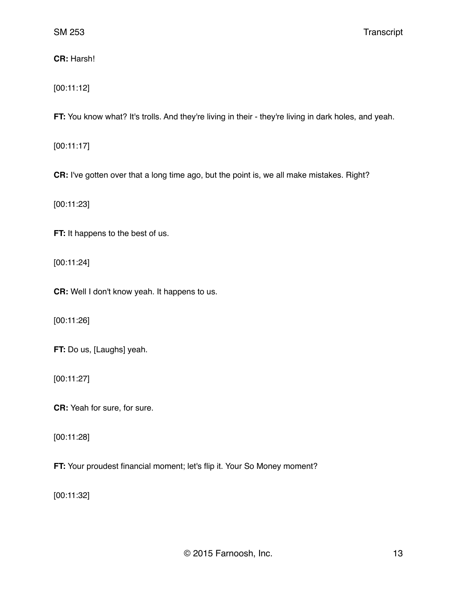**CR:** Harsh!

[00:11:12]

**FT:** You know what? It's trolls. And they're living in their - they're living in dark holes, and yeah.

[00:11:17]

**CR:** I've gotten over that a long time ago, but the point is, we all make mistakes. Right?

[00:11:23]

**FT:** It happens to the best of us.

[00:11:24]

**CR:** Well I don't know yeah. It happens to us.

[00:11:26]

**FT:** Do us, [Laughs] yeah.

[00:11:27]

**CR:** Yeah for sure, for sure.

[00:11:28]

**FT:** Your proudest financial moment; let's flip it. Your So Money moment?

[00:11:32]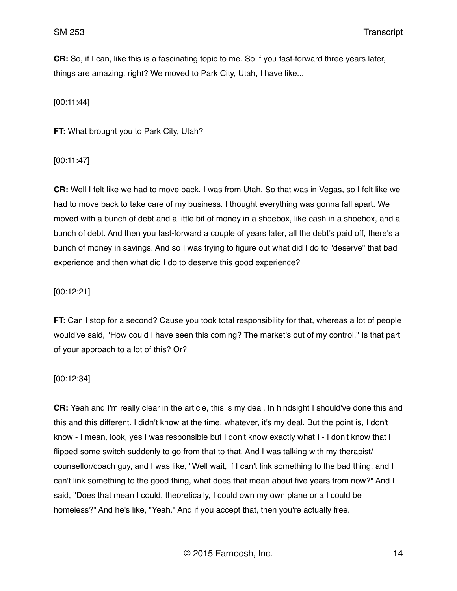**CR:** So, if I can, like this is a fascinating topic to me. So if you fast-forward three years later, things are amazing, right? We moved to Park City, Utah, I have like...

[00:11:44]

**FT:** What brought you to Park City, Utah?

[00:11:47]

**CR:** Well I felt like we had to move back. I was from Utah. So that was in Vegas, so I felt like we had to move back to take care of my business. I thought everything was gonna fall apart. We moved with a bunch of debt and a little bit of money in a shoebox, like cash in a shoebox, and a bunch of debt. And then you fast-forward a couple of years later, all the debt's paid off, there's a bunch of money in savings. And so I was trying to figure out what did I do to "deserve" that bad experience and then what did I do to deserve this good experience?

[00:12:21]

**FT:** Can I stop for a second? Cause you took total responsibility for that, whereas a lot of people would've said, "How could I have seen this coming? The market's out of my control." Is that part of your approach to a lot of this? Or?

[00:12:34]

**CR:** Yeah and I'm really clear in the article, this is my deal. In hindsight I should've done this and this and this different. I didn't know at the time, whatever, it's my deal. But the point is, I don't know - I mean, look, yes I was responsible but I don't know exactly what I - I don't know that I flipped some switch suddenly to go from that to that. And I was talking with my therapist/ counsellor/coach guy, and I was like, "Well wait, if I can't link something to the bad thing, and I can't link something to the good thing, what does that mean about five years from now?" And I said, "Does that mean I could, theoretically, I could own my own plane or a I could be homeless?" And he's like, "Yeah." And if you accept that, then you're actually free.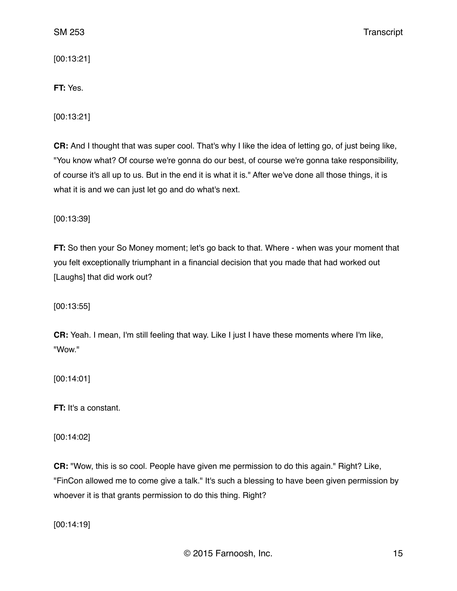[00:13:21]

# **FT:** Yes.

[00:13:21]

**CR:** And I thought that was super cool. That's why I like the idea of letting go, of just being like, "You know what? Of course we're gonna do our best, of course we're gonna take responsibility, of course it's all up to us. But in the end it is what it is." After we've done all those things, it is what it is and we can just let go and do what's next.

[00:13:39]

**FT:** So then your So Money moment; let's go back to that. Where - when was your moment that you felt exceptionally triumphant in a financial decision that you made that had worked out [Laughs] that did work out?

[00:13:55]

**CR:** Yeah. I mean, I'm still feeling that way. Like I just I have these moments where I'm like, "Wow."

[00:14:01]

**FT:** It's a constant.

[00:14:02]

**CR:** "Wow, this is so cool. People have given me permission to do this again." Right? Like, "FinCon allowed me to come give a talk." It's such a blessing to have been given permission by whoever it is that grants permission to do this thing. Right?

[00:14:19]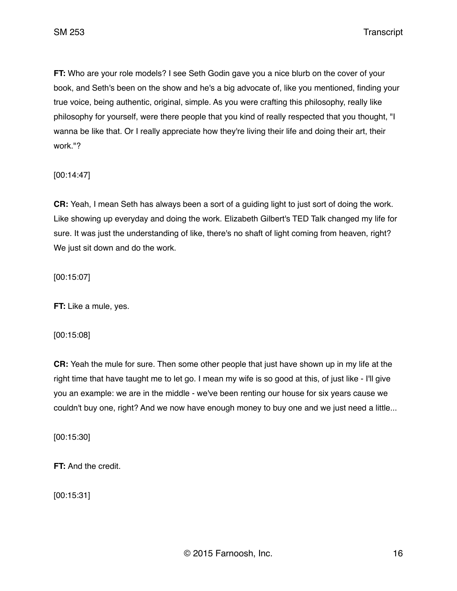SM 253 Transcript

**FT:** Who are your role models? I see Seth Godin gave you a nice blurb on the cover of your book, and Seth's been on the show and he's a big advocate of, like you mentioned, finding your true voice, being authentic, original, simple. As you were crafting this philosophy, really like philosophy for yourself, were there people that you kind of really respected that you thought, "I wanna be like that. Or I really appreciate how they're living their life and doing their art, their work."?

[00:14:47]

**CR:** Yeah, I mean Seth has always been a sort of a guiding light to just sort of doing the work. Like showing up everyday and doing the work. Elizabeth Gilbert's TED Talk changed my life for sure. It was just the understanding of like, there's no shaft of light coming from heaven, right? We just sit down and do the work.

[00:15:07]

**FT:** Like a mule, yes.

[00:15:08]

**CR:** Yeah the mule for sure. Then some other people that just have shown up in my life at the right time that have taught me to let go. I mean my wife is so good at this, of just like - I'll give you an example: we are in the middle - we've been renting our house for six years cause we couldn't buy one, right? And we now have enough money to buy one and we just need a little...

[00:15:30]

**FT:** And the credit.

[00:15:31]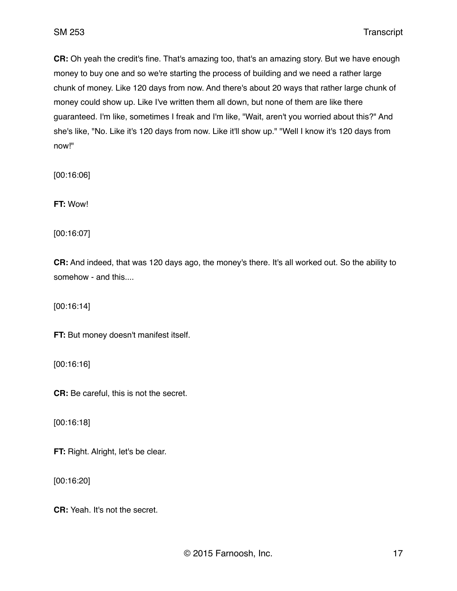**CR:** Oh yeah the credit's fine. That's amazing too, that's an amazing story. But we have enough money to buy one and so we're starting the process of building and we need a rather large chunk of money. Like 120 days from now. And there's about 20 ways that rather large chunk of money could show up. Like I've written them all down, but none of them are like there guaranteed. I'm like, sometimes I freak and I'm like, "Wait, aren't you worried about this?" And she's like, "No. Like it's 120 days from now. Like it'll show up." "Well I know it's 120 days from now!"

[00:16:06]

**FT:** Wow!

[00:16:07]

**CR:** And indeed, that was 120 days ago, the money's there. It's all worked out. So the ability to somehow - and this....

[00:16:14]

**FT:** But money doesn't manifest itself.

[00:16:16]

**CR:** Be careful, this is not the secret.

[00:16:18]

**FT:** Right. Alright, let's be clear.

[00:16:20]

**CR:** Yeah. It's not the secret.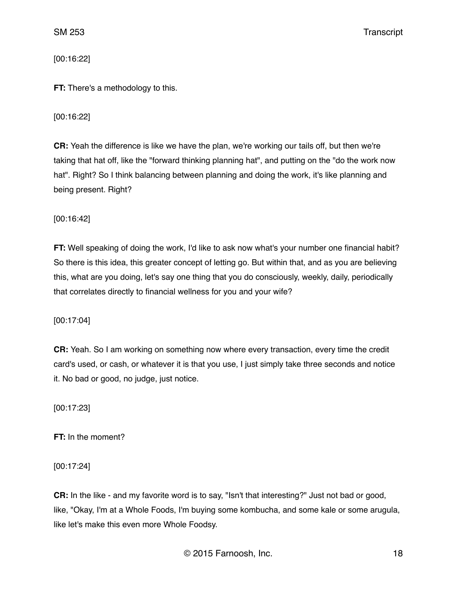[00:16:22]

**FT:** There's a methodology to this.

## [00:16:22]

**CR:** Yeah the difference is like we have the plan, we're working our tails off, but then we're taking that hat off, like the "forward thinking planning hat", and putting on the "do the work now hat". Right? So I think balancing between planning and doing the work, it's like planning and being present. Right?

[00:16:42]

**FT:** Well speaking of doing the work, I'd like to ask now what's your number one financial habit? So there is this idea, this greater concept of letting go. But within that, and as you are believing this, what are you doing, let's say one thing that you do consciously, weekly, daily, periodically that correlates directly to financial wellness for you and your wife?

[00:17:04]

**CR:** Yeah. So I am working on something now where every transaction, every time the credit card's used, or cash, or whatever it is that you use, I just simply take three seconds and notice it. No bad or good, no judge, just notice.

[00:17:23]

**FT:** In the moment?

[00:17:24]

**CR:** In the like - and my favorite word is to say, "Isn't that interesting?" Just not bad or good, like, "Okay, I'm at a Whole Foods, I'm buying some kombucha, and some kale or some arugula, like let's make this even more Whole Foodsy.

© 2015 Farnoosh, Inc. 18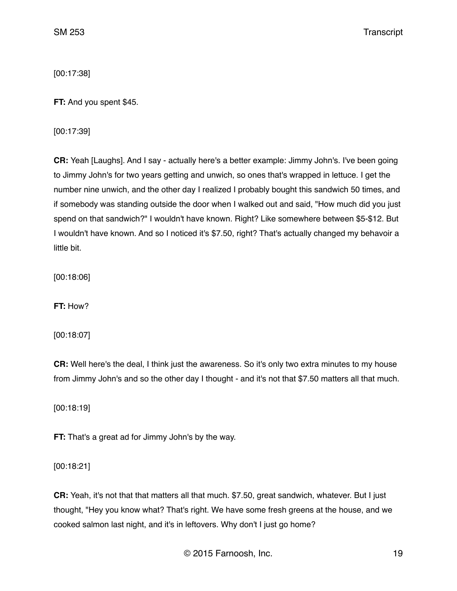[00:17:38]

**FT:** And you spent \$45.

[00:17:39]

**CR:** Yeah [Laughs]. And I say - actually here's a better example: Jimmy John's. I've been going to Jimmy John's for two years getting and unwich, so ones that's wrapped in lettuce. I get the number nine unwich, and the other day I realized I probably bought this sandwich 50 times, and if somebody was standing outside the door when I walked out and said, "How much did you just spend on that sandwich?" I wouldn't have known. Right? Like somewhere between \$5-\$12. But I wouldn't have known. And so I noticed it's \$7.50, right? That's actually changed my behavoir a little bit.

[00:18:06]

**FT:** How?

[00:18:07]

**CR:** Well here's the deal, I think just the awareness. So it's only two extra minutes to my house from Jimmy John's and so the other day I thought - and it's not that \$7.50 matters all that much.

[00:18:19]

**FT:** That's a great ad for Jimmy John's by the way.

[00:18:21]

**CR:** Yeah, it's not that that matters all that much. \$7.50, great sandwich, whatever. But I just thought, "Hey you know what? That's right. We have some fresh greens at the house, and we cooked salmon last night, and it's in leftovers. Why don't I just go home?

© 2015 Farnoosh, Inc. 19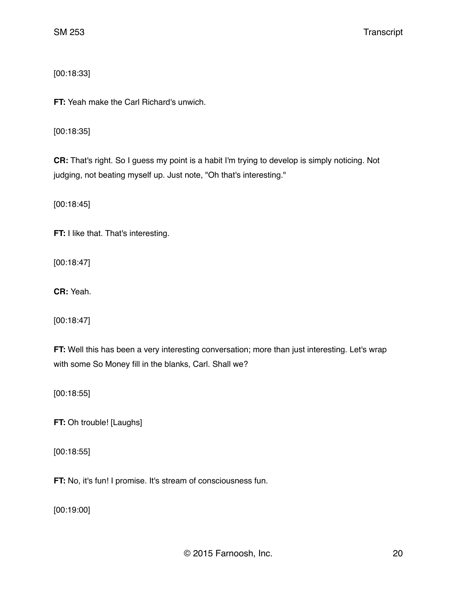[00:18:33]

**FT:** Yeah make the Carl Richard's unwich.

[00:18:35]

**CR:** That's right. So I guess my point is a habit I'm trying to develop is simply noticing. Not judging, not beating myself up. Just note, "Oh that's interesting."

[00:18:45]

**FT:** I like that. That's interesting.

[00:18:47]

**CR:** Yeah.

[00:18:47]

**FT:** Well this has been a very interesting conversation; more than just interesting. Let's wrap with some So Money fill in the blanks, Carl. Shall we?

[00:18:55]

**FT:** Oh trouble! [Laughs]

[00:18:55]

**FT:** No, it's fun! I promise. It's stream of consciousness fun.

[00:19:00]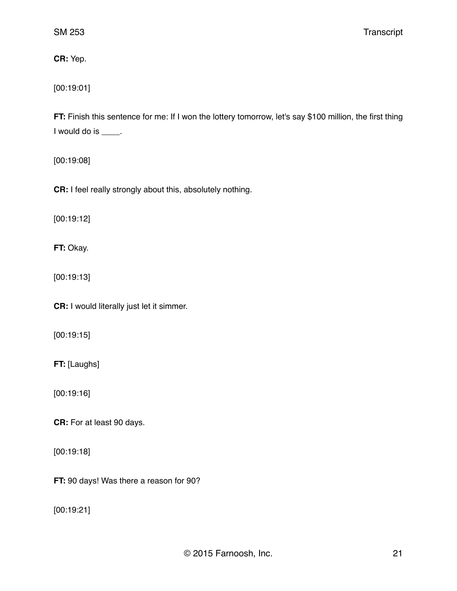**CR:** Yep.

[00:19:01]

**FT:** Finish this sentence for me: If I won the lottery tomorrow, let's say \$100 million, the first thing I would do is \_\_\_\_.

[00:19:08]

**CR:** I feel really strongly about this, absolutely nothing.

[00:19:12]

**FT:** Okay.

[00:19:13]

**CR:** I would literally just let it simmer.

[00:19:15]

**FT:** [Laughs]

[00:19:16]

**CR:** For at least 90 days.

[00:19:18]

**FT:** 90 days! Was there a reason for 90?

[00:19:21]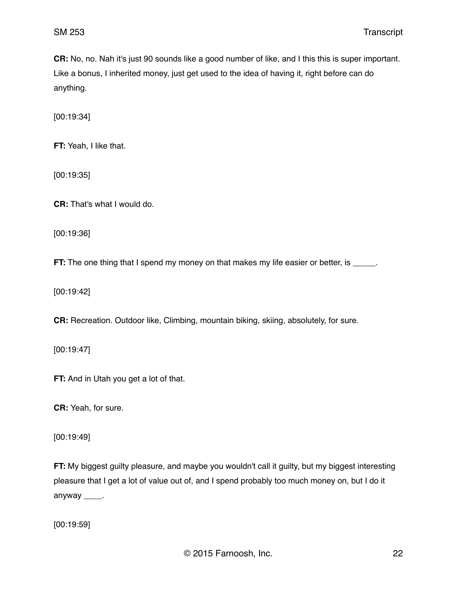**CR:** No, no. Nah it's just 90 sounds like a good number of like, and I this this is super important. Like a bonus, I inherited money, just get used to the idea of having it, right before can do anything.

[00:19:34]

**FT:** Yeah, I like that.

[00:19:35]

**CR:** That's what I would do.

[00:19:36]

**FT:** The one thing that I spend my money on that makes my life easier or better, is \_\_\_\_\_.

[00:19:42]

**CR:** Recreation. Outdoor like, Climbing, mountain biking, skiing, absolutely, for sure.

[00:19:47]

**FT:** And in Utah you get a lot of that.

**CR:** Yeah, for sure.

[00:19:49]

**FT:** My biggest guilty pleasure, and maybe you wouldn't call it guilty, but my biggest interesting pleasure that I get a lot of value out of, and I spend probably too much money on, but I do it anyway \_\_\_\_\_.

[00:19:59]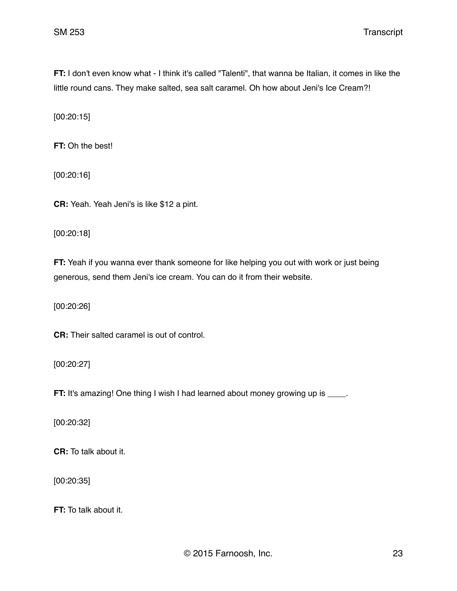**FT:** I don't even know what - I think it's called "Talenti", that wanna be Italian, it comes in like the little round cans. They make salted, sea salt caramel. Oh how about Jeni's Ice Cream?!

[00:20:15]

**FT:** Oh the best!

[00:20:16]

**CR:** Yeah. Yeah Jeni's is like \$12 a pint.

[00:20:18]

**FT:** Yeah if you wanna ever thank someone for like helping you out with work or just being generous, send them Jeni's ice cream. You can do it from their website.

[00:20:26]

**CR:** Their salted caramel is out of control.

[00:20:27]

**FT:** It's amazing! One thing I wish I had learned about money growing up is \_\_\_\_.

[00:20:32]

**CR:** To talk about it.

[00:20:35]

**FT:** To talk about it.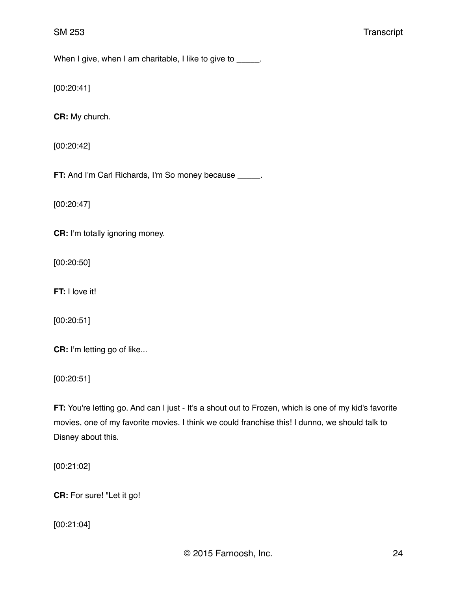When I give, when I am charitable, I like to give to \_\_\_\_\_.

[00:20:41]

**CR:** My church.

[00:20:42]

**FT:** And I'm Carl Richards, I'm So money because \_\_\_\_\_.

[00:20:47]

**CR:** I'm totally ignoring money.

[00:20:50]

**FT:** I love it!

[00:20:51]

**CR:** I'm letting go of like...

[00:20:51]

**FT:** You're letting go. And can I just - It's a shout out to Frozen, which is one of my kid's favorite movies, one of my favorite movies. I think we could franchise this! I dunno, we should talk to Disney about this.

[00:21:02]

**CR:** For sure! "Let it go!

[00:21:04]